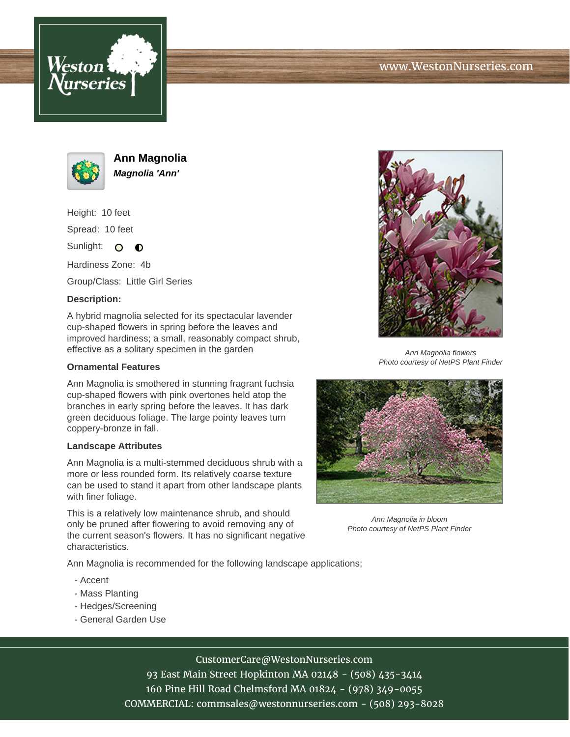





**Ann Magnolia Magnolia 'Ann'**

Height: 10 feet Spread: 10 feet

Sunlight: O  $\bullet$ 

Hardiness Zone: 4b

Group/Class: Little Girl Series

## **Description:**

A hybrid magnolia selected for its spectacular lavender cup-shaped flowers in spring before the leaves and improved hardiness; a small, reasonably compact shrub, effective as a solitary specimen in the garden

### **Ornamental Features**

Ann Magnolia is smothered in stunning fragrant fuchsia cup-shaped flowers with pink overtones held atop the branches in early spring before the leaves. It has dark green deciduous foliage. The large pointy leaves turn coppery-bronze in fall.

#### **Landscape Attributes**

Ann Magnolia is a multi-stemmed deciduous shrub with a more or less rounded form. Its relatively coarse texture can be used to stand it apart from other landscape plants with finer foliage.

This is a relatively low maintenance shrub, and should only be pruned after flowering to avoid removing any of the current season's flowers. It has no significant negative characteristics.

Ann Magnolia is recommended for the following landscape applications;

- Accent
- Mass Planting
- Hedges/Screening
- General Garden Use



Ann Magnolia flowers Photo courtesy of NetPS Plant Finder



Ann Magnolia in bloom Photo courtesy of NetPS Plant Finder

# CustomerCare@WestonNurseries.com

93 East Main Street Hopkinton MA 02148 - (508) 435-3414 160 Pine Hill Road Chelmsford MA 01824 - (978) 349-0055 COMMERCIAL: commsales@westonnurseries.com - (508) 293-8028